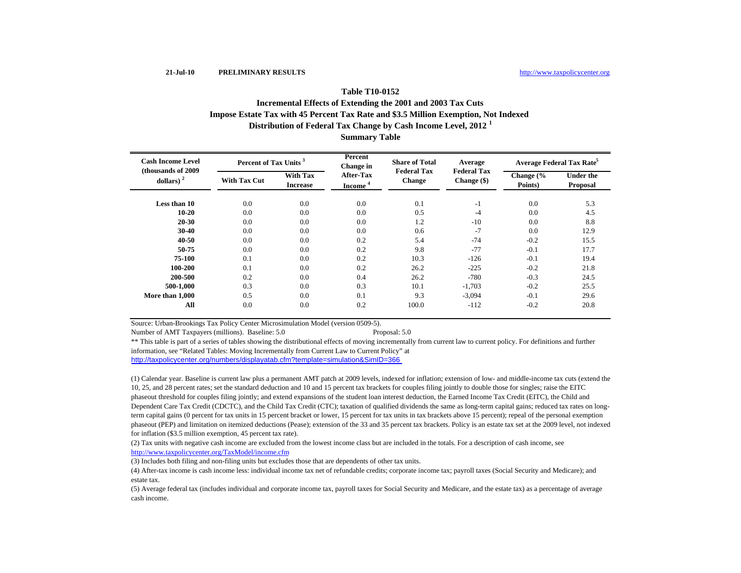# **Distribution of Federal Tax Change by Cash Income Level, 2012 <sup>1</sup> Table T10-0152Incremental Effects of Extending the 2001 and 2003 Tax Cuts Impose Estate Tax with 45 Percent Tax Rate and \$3.5 Million Exemption, Not Indexed**

**Summary Table**

| <b>Cash Income Level</b><br>(thousands of 2009) | Percent of Tax Units <sup>3</sup> |                                    | Percent<br>Change in             | <b>Share of Total</b>        | Average                           | Average Federal Tax Rate <sup>5</sup> |                              |  |
|-------------------------------------------------|-----------------------------------|------------------------------------|----------------------------------|------------------------------|-----------------------------------|---------------------------------------|------------------------------|--|
| dollars) $2$                                    | <b>With Tax Cut</b>               | <b>With Tax</b><br><b>Increase</b> | After-Tax<br>Income <sup>4</sup> | <b>Federal Tax</b><br>Change | <b>Federal Tax</b><br>Change (\$) | Change $\frac{6}{6}$<br>Points)       | <b>Under the</b><br>Proposal |  |
| Less than 10                                    | 0.0                               | 0.0                                | 0.0                              | 0.1                          | $-1$                              | 0.0                                   | 5.3                          |  |
| $10 - 20$                                       | 0.0                               | 0.0                                | 0.0                              | 0.5                          | $-4$                              | 0.0                                   | 4.5                          |  |
| 20-30                                           | 0.0                               | 0.0                                | 0.0                              | 1.2                          | $-10$                             | 0.0                                   | 8.8                          |  |
| 30-40                                           | 0.0                               | 0.0                                | 0.0                              | 0.6                          | $-7$                              | 0.0                                   | 12.9                         |  |
| 40-50                                           | 0.0                               | 0.0                                | 0.2                              | 5.4                          | $-74$                             | $-0.2$                                | 15.5                         |  |
| 50-75                                           | 0.0                               | 0.0                                | 0.2                              | 9.8                          | $-77$                             | $-0.1$                                | 17.7                         |  |
| 75-100                                          | 0.1                               | 0.0                                | 0.2                              | 10.3                         | $-126$                            | $-0.1$                                | 19.4                         |  |
| 100-200                                         | 0.1                               | 0.0                                | 0.2                              | 26.2                         | $-225$                            | $-0.2$                                | 21.8                         |  |
| 200-500                                         | 0.2                               | 0.0                                | 0.4                              | 26.2                         | $-780$                            | $-0.3$                                | 24.5                         |  |
| 500-1.000                                       | 0.3                               | 0.0                                | 0.3                              | 10.1                         | $-1,703$                          | $-0.2$                                | 25.5                         |  |
| More than 1,000                                 | 0.5                               | 0.0                                | 0.1                              | 9.3                          | $-3,094$                          | $-0.1$                                | 29.6                         |  |
| All                                             | 0.0                               | 0.0                                | 0.2                              | 100.0                        | $-112$                            | $-0.2$                                | 20.8                         |  |

Source: Urban-Brookings Tax Policy Center Microsimulation Model (version 0509-5).

Number of AMT Taxpayers (millions). Baseline: 5.0 Proposal: 5.0

http://taxpolicycenter.org/numbers/displayatab.cfm?template=simulation&SimID=366 \*\* This table is part of a series of tables showing the distributional effects of moving incrementally from current law to current policy. For definitions and further information, see "Related Tables: Moving Incrementally from Current Law to Current Policy" at

(1) Calendar year. Baseline is current law plus a permanent AMT patch at 2009 levels, indexed for inflation; extension of low- and middle-income tax cuts (extend the 10, 25, and 28 percent rates; set the standard deduction and 10 and 15 percent tax brackets for couples filing jointly to double those for singles; raise the EITC phaseout threshold for couples filing jointly; and extend expansions of the student loan interest deduction, the Earned Income Tax Credit (EITC), the Child and Dependent Care Tax Credit (CDCTC), and the Child Tax Credit (CTC); taxation of qualified dividends the same as long-term capital gains; reduced tax rates on longterm capital gains (0 percent for tax units in 15 percent bracket or lower, 15 percent for tax units in tax brackets above 15 percent); repeal of the personal exemption phaseout (PEP) and limitation on itemized deductions (Pease); extension of the 33 and 35 percent tax brackets. Policy is an estate tax set at the 2009 level, not indexed for inflation (\$3.5 million exemption, 45 percent tax rate).

(2) Tax units with negative cash income are excluded from the lowest income class but are included in the totals. For a description of cash income, see http://www.taxpolicycenter.org/TaxModel/income.cfm

(3) Includes both filing and non-filing units but excludes those that are dependents of other tax units.

(4) After-tax income is cash income less: individual income tax net of refundable credits; corporate income tax; payroll taxes (Social Security and Medicare); and estate tax.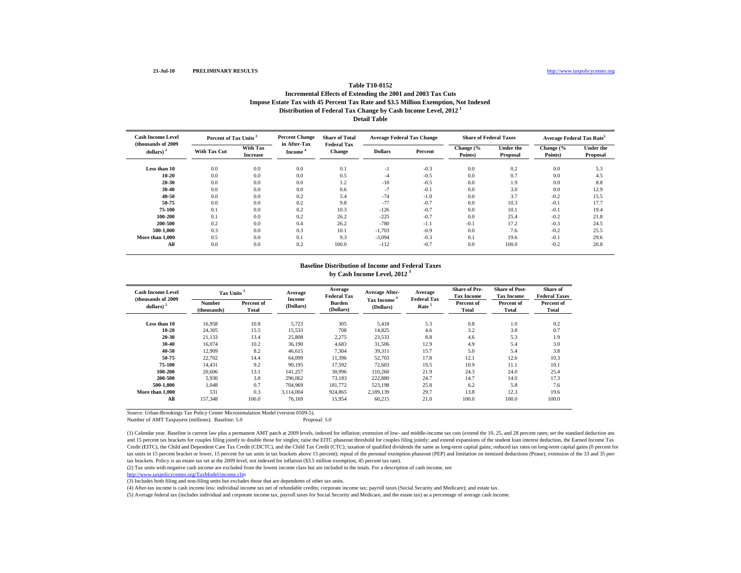## **Distribution of Federal Tax Change by Cash Income Level, 2012 <sup>1</sup> Detail TableTable T10-0152Incremental Effects of Extending the 2001 and 2003 Tax Cuts Impose Estate Tax with 45 Percent Tax Rate and \$3.5 Million Exemption, Not Indexed**

| <b>Cash Income Level</b>                      | Percent of Tax Units <sup>3</sup> |                             | <b>Percent Change</b>  | <b>Share of Total</b>               | <b>Average Federal Tax Change</b> |         | <b>Share of Federal Taxes</b> |                              | Average Federal Tax Rate <sup>5</sup> |                       |
|-----------------------------------------------|-----------------------------------|-----------------------------|------------------------|-------------------------------------|-----------------------------------|---------|-------------------------------|------------------------------|---------------------------------------|-----------------------|
| (thousands of 2009<br>$dollars)$ <sup>2</sup> | <b>With Tax Cut</b>               | With Tax<br><b>Increase</b> | in After-Tax<br>Income | <b>Federal Tax</b><br><b>Change</b> | <b>Dollars</b>                    | Percent | Change (%<br>Points)          | <b>Under the</b><br>Proposal | Change (%<br>Points)                  | Under the<br>Proposal |
| Less than 10                                  | 0.0                               | 0.0                         | 0.0                    | 0.1                                 | -1                                | $-0.3$  | 0.0                           | 0.2                          | 0.0                                   | 5.3                   |
| 10-20                                         | 0.0                               | 0.0                         | 0.0                    | 0.5                                 | -4                                | $-0.5$  | 0.0                           | 0.7                          | 0.0                                   | 4.5                   |
| 20-30                                         | 0.0                               | 0.0                         | 0.0                    | 1.2                                 | $-10$                             | $-0.5$  | 0.0                           | 1.9                          | 0.0                                   | 8.8                   |
| 30-40                                         | 0.0                               | 0.0                         | 0.0                    | 0.6                                 | $-1$                              | $-0.1$  | 0.0                           | 3.0                          | 0.0                                   | 12.9                  |
| 40-50                                         | 0.0                               | 0.0                         | 0.2                    | 5.4                                 | $-74$                             | $-1.0$  | 0.0                           | 3.7                          | $-0.2$                                | 15.5                  |
| 50-75                                         | 0.0                               | 0.0                         | 0.2                    | 9.8                                 | $-77$                             | $-0.7$  | 0.0                           | 10.3                         | $-0.1$                                | 17.7                  |
| 75-100                                        | 0.1                               | 0.0                         | 0.2                    | 10.3                                | $-126$                            | $-0.7$  | 0.0                           | 10.1                         | $-0.1$                                | 19.4                  |
| 100-200                                       | 0.1                               | 0.0                         | 0.2                    | 26.2                                | $-225$                            | $-0.7$  | 0.0                           | 25.4                         | $-0.2$                                | 21.8                  |
| 200-500                                       | 0.2                               | 0.0                         | 0.4                    | 26.2                                | $-780$                            | $-1.1$  | $-0.1$                        | 17.2                         | $-0.3$                                | 24.5                  |
| 500-1.000                                     | 0.3                               | 0.0                         | 0.3                    | 10.1                                | $-1,703$                          | $-0.9$  | 0.0                           | 7.6                          | $-0.2$                                | 25.5                  |
| More than 1.000                               | 0.5                               | 0.0                         | 0.1                    | 9.3                                 | $-3,094$                          | $-0.3$  | 0.1                           | 19.6                         | $-0.1$                                | 29.6                  |
| All                                           | 0.0                               | 0.0                         | 0.2                    | 100.0                               | $-112$                            | $-0.7$  | 0.0                           | 100.0                        | $-0.2$                                | 20.8                  |

## **Baseline Distribution of Income and Federal Taxesby Cash Income Level, 2012 <sup>1</sup>**

| <b>Cash Income Level</b><br>(thousands of 2009) |                              | Tax Units <sup>3</sup> |                     | Average<br><b>Federal Tax</b> | <b>Average After-</b><br><b>Tax Income</b> | Average<br><b>Federal Tax</b> | <b>Share of Pre-</b><br><b>Tax Income</b> | <b>Share of Post-</b><br><b>Tax Income</b> | Share of<br><b>Federal Taxes</b> |
|-------------------------------------------------|------------------------------|------------------------|---------------------|-------------------------------|--------------------------------------------|-------------------------------|-------------------------------------------|--------------------------------------------|----------------------------------|
| dollars) $2$                                    | <b>Number</b><br>(thousands) | Percent of<br>Total    | Income<br>(Dollars) | <b>Burden</b><br>(Dollars)    | (Dollars)                                  | Rate <sup>5</sup>             | Percent of<br>Total                       | Percent of<br>Total                        | Percent of<br>Total              |
| Less than 10                                    | 16,958                       | 10.8                   | 5,723               | 305                           | 5,418                                      | 5.3                           | 0.8                                       | 1.0                                        | 0.2                              |
| 10-20                                           | 24,305                       | 15.5                   | 15,533              | 708                           | 14,825                                     | 4.6                           | 3.2                                       | 3.8                                        | 0.7                              |
| 20-30                                           | 21,133                       | 13.4                   | 25,808              | 2,275                         | 23,533                                     | 8.8                           | 4.6                                       | 5.3                                        | 1.9                              |
| 30-40                                           | 16.074                       | 10.2                   | 36,190              | 4,683                         | 31,506                                     | 12.9                          | 4.9                                       | 5.4                                        | 3.0                              |
| 40-50                                           | 12,909                       | 8.2                    | 46,615              | 7,304                         | 39,311                                     | 15.7                          | 5.0                                       | 5.4                                        | 3.8                              |
| 50-75                                           | 22,702                       | 14.4                   | 64,099              | 11,396                        | 52,703                                     | 17.8                          | 12.1                                      | 12.6                                       | 10.3                             |
| 75-100                                          | 14,431                       | 9.2                    | 90,195              | 17,592                        | 72,603                                     | 19.5                          | 10.9                                      | 11.1                                       | 10.1                             |
| 100-200                                         | 20,606                       | 13.1                   | 141,257             | 30,996                        | 110,260                                    | 21.9                          | 24.3                                      | 24.0                                       | 25.4                             |
| 200-500                                         | 5,930                        | 3.8                    | 296,062             | 73,183                        | 222,880                                    | 24.7                          | 14.7                                      | 14.0                                       | 17.3                             |
| 500-1.000                                       | 1,048                        | 0.7                    | 704,969             | 181,772                       | 523,198                                    | 25.8                          | 6.2                                       | 5.8                                        | 7.6                              |
| More than 1.000                                 | 531                          | 0.3                    | 3.114.004           | 924,865                       | 2.189.139                                  | 29.7                          | 13.8                                      | 12.3                                       | 19.6                             |
| All                                             | 157,348                      | 100.0                  | 76.169              | 15,954                        | 60,215                                     | 21.0                          | 100.0                                     | 100.0                                      | 100.0                            |

Source: Urban-Brookings Tax Policy Center Microsimulation Model (version 0509-5).

Number of AMT Taxpayers (millions). Baseline: 5.0 Proposal: 5.0

(1) Calendar year. Baseline is current law plus a permanent AMT patch at 2009 levels, indexed for inflation; extension of low- and middle-income tax cuts (extend the 10, 25, and 28 percent rates; set the standard deduction and 15 percent tax brackets for couples filing jointly to double those for singles; raise the EITC phaseout threshold for couples filing jointly; and extend expansions of the student loan interest deduction, the Earned Inc Credit (EITC), the Child and Dependent Care Tax Credit (CDCTC), and the Child Tax Credit (CTC); taxation of qualified dividends the same as long-term capital gains; reduced tax rates on long-term capital gains (0 percent f tax units in 15 percent bracket or lower, 15 percent for tax units in tax brackets above 15 percent); repeal of the personal exemption phaseout (PEP) and limitation on itemized deductions (Pease); extension of the 33 and 3 tax brackets. Policy is an estate tax set at the 2009 level, not indexed for inflation (\$3.5 million exemption, 45 percent tax rate).

(2) Tax units with negative cash income are excluded from the lowest income class but are included in the totals. For a description of cash income, see

http://www.taxpolicycenter.org/TaxModel/income.cfm<br>(3) Includes both filing and non-filing units but excludes those that are dependents of other tax units.

(4) After-tax income is cash income less: individual income tax net of refundable credits; corporate income tax; payroll taxes (Social Security and Medicare); and estate tax.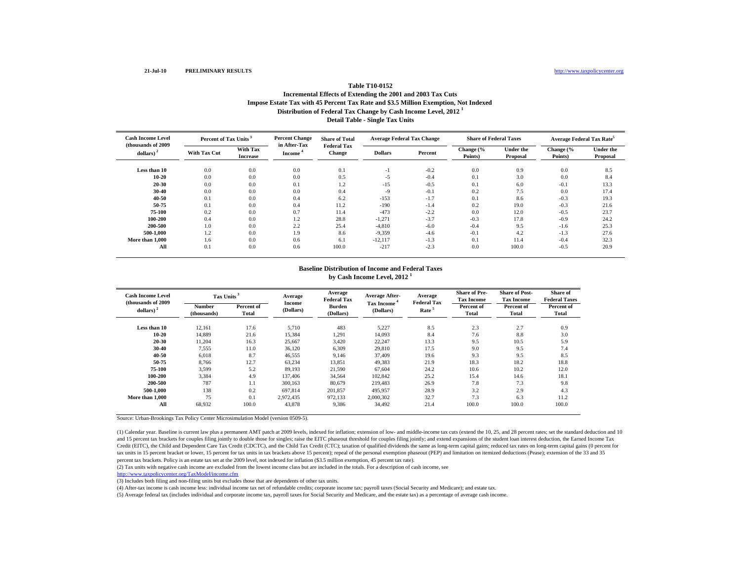# **Distribution of Federal Tax Change by Cash Income Level, 2012 <sup>1</sup> Detail Table - Single Tax Units Table T10-0152Incremental Effects of Extending the 2001 and 2003 Tax Cuts Impose Estate Tax with 45 Percent Tax Rate and \$3.5 Million Exemption, Not Indexed**

| <b>Cash Income Level</b>            | Percent of Tax Units <sup>3</sup> |                                    | <b>Percent Change</b>               | <b>Share of Total</b>               | <b>Average Federal Tax Change</b> |         | <b>Share of Federal Taxes</b> |                              | <b>Average Federal Tax Rate</b> |                              |
|-------------------------------------|-----------------------------------|------------------------------------|-------------------------------------|-------------------------------------|-----------------------------------|---------|-------------------------------|------------------------------|---------------------------------|------------------------------|
| (thousands of 2009)<br>dollars) $2$ | <b>With Tax Cut</b>               | <b>With Tax</b><br><b>Increase</b> | in After-Tax<br>Income <sup>4</sup> | <b>Federal Tax</b><br><b>Change</b> | <b>Dollars</b>                    | Percent | Change (%<br>Points)          | <b>Under the</b><br>Proposal | Change (%<br>Points)            | <b>Under the</b><br>Proposal |
| Less than 10                        | 0.0                               | 0.0                                | 0.0                                 | 0.1                                 | -1                                | $-0.2$  | 0.0                           | 0.9                          | 0.0                             | 8.5                          |
| $10 - 20$                           | 0.0                               | 0.0                                | 0.0                                 | 0.5                                 | $-5$                              | $-0.4$  | 0.1                           | 3.0                          | 0.0                             | 8.4                          |
| $20 - 30$                           | 0.0                               | 0.0                                | 0.1                                 | 1.2                                 | $-15$                             | $-0.5$  | 0.1                           | 6.0                          | $-0.1$                          | 13.3                         |
| $30 - 40$                           | 0.0                               | 0.0                                | 0.0                                 | 0.4                                 | $-9$                              | $-0.1$  | 0.2                           | 7.5                          | 0.0                             | 17.4                         |
| 40-50                               | 0.1                               | 0.0                                | 0.4                                 | 6.2                                 | $-153$                            | $-1.7$  | 0.1                           | 8.6                          | $-0.3$                          | 19.3                         |
| 50-75                               | 0.1                               | 0.0                                | 0.4                                 | 11.2                                | $-190$                            | $-1.4$  | 0.2                           | 19.0                         | $-0.3$                          | 21.6                         |
| 75-100                              | 0.2                               | 0.0                                | 0.7                                 | 11.4                                | $-473$                            | $-2.2$  | 0.0                           | 12.0                         | $-0.5$                          | 23.7                         |
| 100-200                             | 0.4                               | 0.0                                | 1.2                                 | 28.8                                | $-1,271$                          | $-3.7$  | $-0.3$                        | 17.8                         | $-0.9$                          | 24.2                         |
| 200-500                             | 1.0                               | 0.0                                | 2.2                                 | 25.4                                | $-4,810$                          | $-6.0$  | $-0.4$                        | 9.5                          | $-1.6$                          | 25.3                         |
| 500-1.000                           | 1.2                               | 0.0                                | 1.9                                 | 8.6                                 | $-9,359$                          | $-4.6$  | $-0.1$                        | 4.2                          | $-1.3$                          | 27.6                         |
| More than 1.000                     | 1.6                               | 0.0                                | 0.6                                 | 6.1                                 | $-12,117$                         | $-1.3$  | 0.1                           | 11.4                         | $-0.4$                          | 32.3                         |
| All                                 | 0.1                               | 0.0                                | 0.6                                 | 100.0                               | $-217$                            | $-2.3$  | 0.0                           | 100.0                        | $-0.5$                          | 20.9                         |

#### **Baseline Distribution of Income and Federal Taxes by Cash Income Level, 2012 <sup>1</sup>**

| <b>Cash Income Level</b><br>(thousands of 2009) | Tax Units                    |                     | Average<br><b>Income</b> | Average<br><b>Federal Tax</b> | <b>Average After-</b>          | Average<br><b>Federal Tax</b> | <b>Share of Pre-</b><br><b>Tax Income</b> | <b>Share of Post-</b><br><b>Tax Income</b> | Share of<br><b>Federal Taxes</b> |
|-------------------------------------------------|------------------------------|---------------------|--------------------------|-------------------------------|--------------------------------|-------------------------------|-------------------------------------------|--------------------------------------------|----------------------------------|
| dollars) $2$                                    | <b>Number</b><br>(thousands) | Percent of<br>Total | (Dollars)                | <b>Burden</b><br>(Dollars)    | <b>Tax Income</b><br>(Dollars) | Rate <sup>5</sup>             | Percent of<br>Total                       | Percent of<br>Total                        | Percent of<br>Total              |
| Less than 10<br>$10 - 20$                       | 12,161                       | 17.6                | 5,710                    | 483                           | 5,227                          | 8.5                           | 2.3                                       | 2.7<br>8.8                                 | 0.9                              |
| $20 - 30$                                       | 14,889<br>11,204             | 21.6<br>16.3        | 15,384<br>25,667         | 1,291<br>3,420                | 14,093<br>22,247               | 8.4<br>13.3                   | 7.6<br>9.5                                | 10.5                                       | 3.0<br>5.9                       |
| 30-40<br>40-50                                  | 7,555<br>6,018               | 11.0<br>8.7         | 36,120<br>46,555         | 6,309<br>9,146                | 29.810<br>37,409               | 17.5<br>19.6                  | 9.0<br>9.3                                | 9.5<br>9.5                                 | 7.4<br>8.5                       |
| 50-75<br>75-100                                 | 8,766<br>3,599               | 12.7<br>5.2         | 63,234<br>89,193         | 13,851<br>21,590              | 49,383<br>67,604               | 21.9<br>24.2                  | 18.3<br>10.6                              | 18.2<br>10.2                               | 18.8<br>12.0                     |
| 100-200<br>200-500                              | 3,384<br>787                 | 4.9<br>1.1          | 137,406<br>300,163       | 34,564<br>80,679              | 102,842<br>219,483             | 25.2<br>26.9                  | 15.4<br>7.8                               | 14.6<br>7.3                                | 18.1<br>9.8                      |
| 500-1.000<br>More than 1.000                    | 138<br>75                    | 0.2<br>0.1          | 697,814<br>2.972.435     | 201,857<br>972,133            | 495,957<br>2,000,302           | 28.9<br>32.7                  | 3.2<br>7.3                                | 2.9<br>6.3                                 | 4.3<br>11.2                      |
| All                                             | 68,932                       | 100.0               | 43,878                   | 9,386                         | 34,492                         | 21.4                          | 100.0                                     | 100.0                                      | 100.0                            |

Source: Urban-Brookings Tax Policy Center Microsimulation Model (version 0509-5).

(1) Calendar year. Baseline is current law plus a permanent AMT patch at 2009 levels, indexed for inflation; extension of low- and middle-income tax cuts (extend the 10, 25, and 28 percent rates; set the standard deduction and 15 percent tax brackets for couples filing jointly to double those for singles; raise the EITC phaseout threshold for couples filing jointly; and extend expansions of the student loan interest deduction, the Earned Inc Credit (EITC), the Child and Dependent Care Tax Credit (CDCTC), and the Child Tax Credit (CTC); taxation of qualified dividends the same as long-term capital gains; reduced tax rates on long-term capital gains (0 percent f tax units in 15 percent bracket or lower, 15 percent for tax units in tax brackets above 15 percent); repeal of the personal exemption phaseout (PEP) and limitation on itemized deductions (Pease); extension of the 33 and 35 percent tax brackets. Policy is an estate tax set at the 2009 level, not indexed for inflation (\$3.5 million exemption, 45 percent tax rate).

(2) Tax units with negative cash income are excluded from the lowest income class but are included in the totals. For a description of cash income, see

http://www.taxpolicycenter.org/TaxModel/income.cfm

(3) Includes both filing and non-filing units but excludes those that are dependents of other tax units.

(4) After-tax income is cash income less: individual income tax net of refundable credits; corporate income tax; payroll taxes (Social Security and Medicare); and estate tax.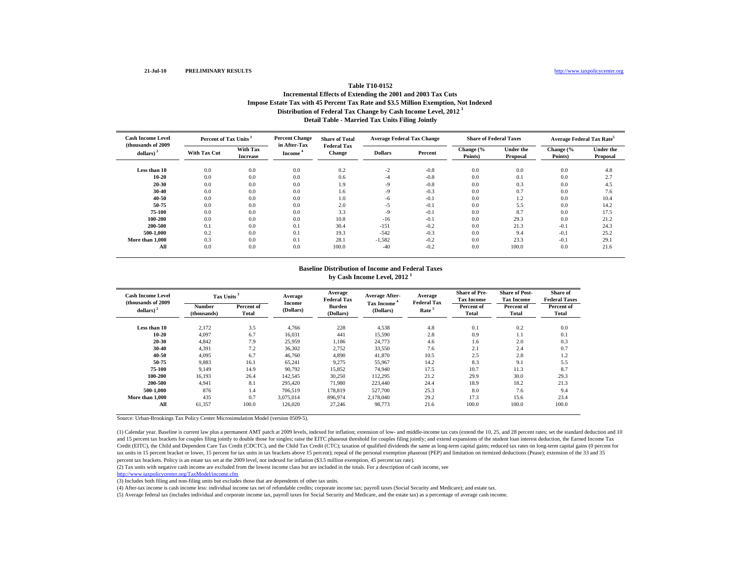# **Distribution of Federal Tax Change by Cash Income Level, 2012 <sup>1</sup> Detail Table - Married Tax Units Filing Jointly Table T10-0152Incremental Effects of Extending the 2001 and 2003 Tax Cuts Impose Estate Tax with 45 Percent Tax Rate and \$3.5 Million Exemption, Not Indexed**

| <b>Cash Income Level</b>            | Percent of Tax Units <sup>3</sup> |                                    | <b>Percent Change</b>               | <b>Share of Total</b>               | <b>Average Federal Tax Change</b> |         | <b>Share of Federal Taxes</b> |                       | <b>Average Federal Tax Rate<sup>5</sup></b> |                              |
|-------------------------------------|-----------------------------------|------------------------------------|-------------------------------------|-------------------------------------|-----------------------------------|---------|-------------------------------|-----------------------|---------------------------------------------|------------------------------|
| (thousands of 2009)<br>dollars) $2$ | <b>With Tax Cut</b>               | <b>With Tax</b><br><b>Increase</b> | in After-Tax<br>Income <sup>4</sup> | <b>Federal Tax</b><br><b>Change</b> | <b>Dollars</b>                    | Percent | Change (%<br>Points)          | Under the<br>Proposal | Change (%<br>Points)                        | <b>Under the</b><br>Proposal |
| Less than 10                        | 0.0                               | 0.0                                | 0.0                                 | 0.2                                 | $-2$                              | $-0.8$  | 0.0                           | 0.0                   | 0.0                                         | 4.8                          |
| $10 - 20$                           | 0.0                               | 0.0                                | 0.0                                 | 0.6                                 | -4                                | $-0.8$  | 0.0                           | 0.1                   | 0.0                                         | 2.7                          |
| $20 - 30$                           | 0.0                               | 0.0                                | 0.0                                 | 1.9                                 | $-9$                              | $-0.8$  | 0.0                           | 0.3                   | 0.0                                         | 4.5                          |
| $30 - 40$                           | 0.0                               | 0.0                                | 0.0                                 | 1.6                                 | $-9$                              | $-0.3$  | 0.0                           | 0.7                   | 0.0                                         | 7.6                          |
| 40-50                               | 0.0                               | 0.0                                | 0.0                                 | 1.0                                 | $-6$                              | $-0.1$  | 0.0                           | 1.2                   | 0.0                                         | 10.4                         |
| 50-75                               | 0.0                               | 0.0                                | 0.0                                 | 2.0                                 | -5                                | $-0.1$  | 0.0                           | 5.5                   | 0.0                                         | 14.2                         |
| 75-100                              | 0.0                               | 0.0                                | 0.0                                 | 3.3                                 | $-9$                              | $-0.1$  | 0.0                           | 8.7                   | 0.0                                         | 17.5                         |
| 100-200                             | 0.0                               | 0.0                                | 0.0                                 | 10.8                                | $-16$                             | $-0.1$  | 0.0                           | 29.3                  | 0.0                                         | 21.2                         |
| 200-500                             | 0.1                               | 0.0                                | 0.1                                 | 30.4                                | $-151$                            | $-0.2$  | 0.0                           | 21.3                  | $-0.1$                                      | 24.3                         |
| 500-1.000                           | 0.2                               | 0.0                                | 0.1                                 | 19.3                                | $-542$                            | $-0.3$  | 0.0                           | 9.4                   | $-0.1$                                      | 25.2                         |
| More than 1,000                     | 0.3                               | 0.0                                | 0.1                                 | 28.1                                | $-1,582$                          | $-0.2$  | 0.0                           | 23.3                  | $-0.1$                                      | 29.1                         |
| All                                 | 0.0                               | 0.0                                | 0.0                                 | 100.0                               | $-40$                             | $-0.2$  | 0.0                           | 100.0                 | 0.0                                         | 21.6                         |

#### **Baseline Distribution of Income and Federal Taxes by Cash Income Level, 2012 <sup>1</sup>**

| <b>Cash Income Level</b><br>(thousands of 2009 | Tax Units <sup>3</sup> |                     | Average<br><b>Income</b> | Average<br><b>Federal Tax</b> | <b>Average After-</b>          | Average<br><b>Federal Tax</b> | <b>Share of Pre-</b><br><b>Tax Income</b> | <b>Share of Post-</b><br><b>Tax Income</b> | Share of<br><b>Federal Taxes</b> |
|------------------------------------------------|------------------------|---------------------|--------------------------|-------------------------------|--------------------------------|-------------------------------|-------------------------------------------|--------------------------------------------|----------------------------------|
| dollars) $2$                                   | Number<br>(thousands)  | Percent of<br>Total | (Dollars)                | <b>Burden</b><br>(Dollars)    | <b>Tax Income</b><br>(Dollars) | Rate <sup>5</sup>             | Percent of<br>Total                       | Percent of<br>Total                        | Percent of<br>Total              |
| Less than 10                                   | 2,172                  | 3.5                 | 4.766                    | 228                           | 4,538                          | 4.8                           | 0.1                                       | 0.2                                        | 0.0                              |
| $10 - 20$                                      | 4,097                  | 6.7                 | 16,031                   | 441                           | 15,590                         | 2.8                           | 0.9                                       | 1.1                                        | 0.1                              |
| 20-30                                          | 4,842                  | 7.9                 | 25,959                   | 1,186                         | 24,773                         | 4.6                           | 1.6                                       | 2.0                                        | 0.3                              |
| 30-40                                          | 4,391                  | 7.2                 | 36,302                   | 2,752                         | 33,550                         | 7.6                           | 2.1                                       | 2.4                                        | 0.7                              |
| 40-50                                          | 4,095                  | 6.7                 | 46,760                   | 4,890                         | 41,870                         | 10.5                          | 2.5                                       | 2.8                                        | 1.2                              |
| 50-75                                          | 9,883                  | 16.1                | 65,241                   | 9,275                         | 55,967                         | 14.2                          | 8.3                                       | 9.1                                        | 5.5                              |
| 75-100                                         | 9.149                  | 14.9                | 90,792                   | 15,852                        | 74.940                         | 17.5                          | 10.7                                      | 11.3                                       | 8.7                              |
| 100-200                                        | 16,193                 | 26.4                | 142,545                  | 30,250                        | 112,295                        | 21.2                          | 29.9                                      | 30.0                                       | 29.3                             |
| 200-500                                        | 4,941                  | 8.1                 | 295.420                  | 71,980                        | 223,440                        | 24.4                          | 18.9                                      | 18.2                                       | 21.3                             |
| 500-1.000                                      | 876                    | 1.4                 | 706,519                  | 178,819                       | 527,700                        | 25.3                          | 8.0                                       | 7.6                                        | 9.4                              |
| More than 1,000                                | 435                    | 0.7                 | 3.075.014                | 896,974                       | 2.178.040                      | 29.2                          | 17.3                                      | 15.6                                       | 23.4                             |
| All                                            | 61,357                 | 100.0               | 126,020                  | 27,246                        | 98,773                         | 21.6                          | 100.0                                     | 100.0                                      | 100.0                            |
|                                                |                        |                     |                          |                               |                                |                               |                                           |                                            |                                  |

Source: Urban-Brookings Tax Policy Center Microsimulation Model (version 0509-5).

(1) Calendar year. Baseline is current law plus a permanent AMT patch at 2009 levels, indexed for inflation; extension of low- and middle-income tax cuts (extend the 10, 25, and 28 percent rates; set the standard deduction and 15 percent tax brackets for couples filing jointly to double those for singles; raise the EITC phaseout threshold for couples filing jointly; and extend expansions of the student loan interest deduction, the Earned Inc Credit (EITC), the Child and Dependent Care Tax Credit (CDCTC), and the Child Tax Credit (CTC); taxation of qualified dividends the same as long-term capital gains; reduced tax rates on long-term capital gains (0 percent f tax units in 15 percent bracket or lower, 15 percent for tax units in tax brackets above 15 percent); repeal of the personal exemption phaseout (PEP) and limitation on itemized deductions (Pease); extension of the 33 and 35 percent tax brackets. Policy is an estate tax set at the 2009 level, not indexed for inflation (\$3.5 million exemption, 45 percent tax rate).

(2) Tax units with negative cash income are excluded from the lowest income class but are included in the totals. For a description of cash income, see

http://www.taxpolicycenter.org/TaxModel/income.cfm

(3) Includes both filing and non-filing units but excludes those that are dependents of other tax units.

(4) After-tax income is cash income less: individual income tax net of refundable credits; corporate income tax; payroll taxes (Social Security and Medicare); and estate tax.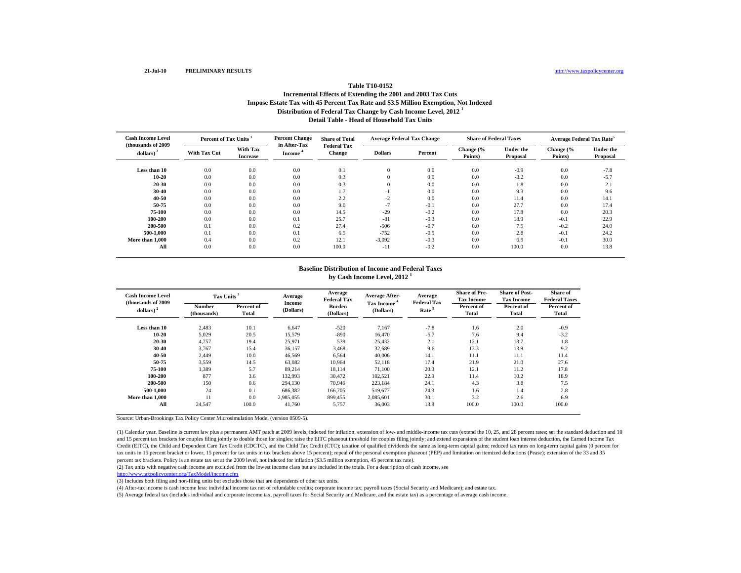# **Distribution of Federal Tax Change by Cash Income Level, 2012 <sup>1</sup> Detail Table - Head of Household Tax UnitsTable T10-0152Incremental Effects of Extending the 2001 and 2003 Tax Cuts Impose Estate Tax with 45 Percent Tax Rate and \$3.5 Million Exemption, Not Indexed**

| <b>Cash Income Level</b>           | Percent of Tax Units <sup>3</sup> |                                    | <b>Percent Change</b>               | <b>Share of Total</b>               | <b>Average Federal Tax Change</b> |         | <b>Share of Federal Taxes</b> |                       | <b>Average Federal Tax Rate<sup>5</sup></b> |                              |
|------------------------------------|-----------------------------------|------------------------------------|-------------------------------------|-------------------------------------|-----------------------------------|---------|-------------------------------|-----------------------|---------------------------------------------|------------------------------|
| (thousands of 2009<br>dollars) $2$ | <b>With Tax Cut</b>               | <b>With Tax</b><br><b>Increase</b> | in After-Tax<br>Income <sup>4</sup> | <b>Federal Tax</b><br><b>Change</b> | <b>Dollars</b>                    | Percent | Change (%<br>Points)          | Under the<br>Proposal | Change (%<br>Points)                        | <b>Under the</b><br>Proposal |
| Less than 10                       | 0.0                               | 0.0                                | 0.0                                 | 0.1                                 | $\mathbf{0}$                      | 0.0     | 0.0                           | $-0.9$                | 0.0                                         | $-7.8$                       |
| $10 - 20$                          | 0.0                               | 0.0                                | 0.0                                 | 0.3                                 | $\mathbf{0}$                      | 0.0     | 0.0                           | $-3.2$                | 0.0                                         | $-5.7$                       |
| $20 - 30$                          | 0.0                               | 0.0                                | 0.0                                 | 0.3                                 | $\theta$                          | 0.0     | 0.0                           | 1.8                   | 0.0                                         | 2.1                          |
| $30 - 40$                          | 0.0                               | 0.0                                | 0.0                                 | 1.7                                 | $-1$                              | 0.0     | 0.0                           | 9.3                   | 0.0                                         | 9.6                          |
| 40-50                              | 0.0                               | 0.0                                | 0.0                                 | 2.2                                 | $-2$                              | 0.0     | 0.0                           | 11.4                  | 0.0                                         | 14.1                         |
| 50-75                              | 0.0                               | 0.0                                | 0.0                                 | 9.0                                 | $-1$                              | $-0.1$  | 0.0                           | 27.7                  | 0.0                                         | 17.4                         |
| 75-100                             | 0.0                               | 0.0                                | 0.0                                 | 14.5                                | $-29$                             | $-0.2$  | 0.0                           | 17.8                  | 0.0                                         | 20.3                         |
| 100-200                            | 0.0                               | 0.0                                | 0.1                                 | 25.7                                | $-81$                             | $-0.3$  | 0.0                           | 18.9                  | $-0.1$                                      | 22.9                         |
| 200-500                            | 0.1                               | 0.0                                | 0.2                                 | 27.4                                | $-506$                            | $-0.7$  | 0.0                           | 7.5                   | $-0.2$                                      | 24.0                         |
| 500-1.000                          | 0.1                               | 0.0                                | 0.1                                 | 6.5                                 | $-752$                            | $-0.5$  | 0.0                           | 2.8                   | $-0.1$                                      | 24.2                         |
| More than 1.000                    | 0.4                               | 0.0                                | 0.2                                 | 12.1                                | $-3,092$                          | $-0.3$  | 0.0                           | 6.9                   | $-0.1$                                      | 30.0                         |
| All                                | 0.0                               | 0.0                                | 0.0                                 | 100.0                               | $-11$                             | $-0.2$  | 0.0                           | 100.0                 | 0.0                                         | 13.8                         |

#### **Baseline Distribution of Income and Federal Taxes by Cash Income Level, 2012 <sup>1</sup>**

| <b>Cash Income Level</b><br>(thousands of 2009) |                              | Tax Units <sup>3</sup> |                            | Average<br><b>Federal Tax</b> | <b>Average After-</b>          | Average<br><b>Federal Tax</b> | <b>Share of Pre-</b><br><b>Tax Income</b> | <b>Share of Post-</b><br><b>Tax Income</b> | Share of<br><b>Federal Taxes</b> |
|-------------------------------------------------|------------------------------|------------------------|----------------------------|-------------------------------|--------------------------------|-------------------------------|-------------------------------------------|--------------------------------------------|----------------------------------|
| dollars) $2$                                    | <b>Number</b><br>(thousands) | Percent of<br>Total    | <b>Income</b><br>(Dollars) | <b>Burden</b><br>(Dollars)    | <b>Tax Income</b><br>(Dollars) | Rate <sup>5</sup>             | Percent of<br>Total                       | Percent of<br>Total                        | Percent of<br>Total              |
| Less than 10                                    | 2,483                        | 10.1                   | 6.647                      | $-520$                        | 7.167                          | $-7.8$                        | 1.6                                       | 2.0                                        | $-0.9$                           |
| $10 - 20$<br>20-30                              | 5,029<br>4,757               | 20.5<br>19.4           | 15,579<br>25,971           | $-890$<br>539                 | 16.470<br>25,432               | $-5.7$<br>2.1                 | 7.6<br>12.1                               | 9.4<br>13.7                                | $-3.2$<br>1.8                    |
| 30-40<br>40-50                                  | 3,767                        | 15.4                   | 36,157                     | 3,468                         | 32,689                         | 9.6<br>14.1                   | 13.3<br>11.1                              | 13.9<br>11.1                               | 9.2<br>11.4                      |
| 50-75                                           | 2,449<br>3,559               | 10.0<br>14.5           | 46,569<br>63,082           | 6,564<br>10.964               | 40,006<br>52,118               | 17.4                          | 21.9                                      | 21.0                                       | 27.6                             |
| 75-100<br>100-200                               | 1,389<br>877                 | 5.7<br>3.6             | 89,214<br>132,993          | 18,114<br>30,472              | 71,100<br>102,521              | 20.3<br>22.9                  | 12.1<br>11.4                              | 11.2<br>10.2                               | 17.8<br>18.9                     |
| 200-500                                         | 150                          | 0.6                    | 294.130                    | 70,946                        | 223.184                        | 24.1                          | 4.3                                       | 3.8                                        | 7.5                              |
| 500-1.000<br>More than 1,000                    | 24                           | 0.1<br>0.0             | 686,382<br>2.985.055       | 166,705<br>899.455            | 519,677<br>2,085,601           | 24.3<br>30.1                  | 1.6<br>3.2                                | 1.4<br>2.6                                 | 2.8<br>6.9                       |
| All                                             | 24,547                       | 100.0                  | 41,760                     | 5,757                         | 36,003                         | 13.8                          | 100.0                                     | 100.0                                      | 100.0                            |

Source: Urban-Brookings Tax Policy Center Microsimulation Model (version 0509-5).

(1) Calendar year. Baseline is current law plus a permanent AMT patch at 2009 levels, indexed for inflation; extension of low- and middle-income tax cuts (extend the 10, 25, and 28 percent rates; set the standard deduction and 15 percent tax brackets for couples filing jointly to double those for singles; raise the EITC phaseout threshold for couples filing jointly; and extend expansions of the student loan interest deduction, the Earned Inc Credit (EITC), the Child and Dependent Care Tax Credit (CDCTC), and the Child Tax Credit (CTC); taxation of qualified dividends the same as long-term capital gains; reduced tax rates on long-term capital gains (0 percent f tax units in 15 percent bracket or lower, 15 percent for tax units in tax brackets above 15 percent); repeal of the personal exemption phaseout (PEP) and limitation on itemized deductions (Pease); extension of the 33 and 35 percent tax brackets. Policy is an estate tax set at the 2009 level, not indexed for inflation (\$3.5 million exemption, 45 percent tax rate).

(2) Tax units with negative cash income are excluded from the lowest income class but are included in the totals. For a description of cash income, see

http://www.taxpolicycenter.org/TaxModel/income.cfm

(3) Includes both filing and non-filing units but excludes those that are dependents of other tax units.

(4) After-tax income is cash income less: individual income tax net of refundable credits; corporate income tax; payroll taxes (Social Security and Medicare); and estate tax.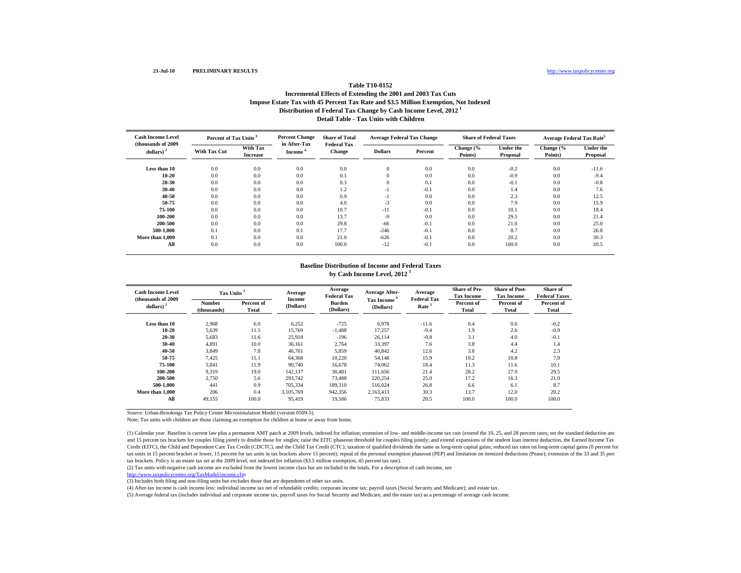## **Distribution of Federal Tax Change by Cash Income Level, 2012 <sup>1</sup> Detail Table - Tax Units with ChildrenTable T10-0152Incremental Effects of Extending the 2001 and 2003 Tax Cuts Impose Estate Tax with 45 Percent Tax Rate and \$3.5 Million Exemption, Not Indexed**

| <b>Cash Income Level</b>            | Percent of Tax Units <sup>3</sup> |                             | <b>Percent Change</b>  | <b>Share of Total</b>        |                | <b>Average Federal Tax Change</b> | <b>Share of Federal Taxes</b> |                       | Average Federal Tax Rate <sup>5</sup> |                              |
|-------------------------------------|-----------------------------------|-----------------------------|------------------------|------------------------------|----------------|-----------------------------------|-------------------------------|-----------------------|---------------------------------------|------------------------------|
| (thousands of 2009)<br>dollars) $2$ | <b>With Tax Cut</b>               | With Tax<br><b>Increase</b> | in After-Tax<br>Income | <b>Federal Tax</b><br>Change | <b>Dollars</b> | Percent                           | Change (%<br>Points)          | Under the<br>Proposal | Change (%<br>Points)                  | <b>Under the</b><br>Proposal |
| Less than 10                        | 0.0                               | 0.0                         | 0.0                    | 0.0                          |                | 0.0                               | 0.0                           | $-0.2$                | 0.0                                   | $-11.6$                      |
| $10 - 20$                           | 0.0                               | 0.0                         | 0.0                    | 0.1                          |                | 0.0                               | 0.0                           | $-0.9$                | 0.0                                   | $-9.4$                       |
| $20 - 30$                           | 0.0                               | 0.0                         | 0.0                    | 0.3                          |                | 0.1                               | 0.0                           | $-0.1$                | 0.0                                   | $-0.8$                       |
| 30-40                               | 0.0                               | 0.0                         | 0.0                    | 1.2                          | ٠I             | $-0.1$                            | 0.0                           | 1.4                   | 0.0                                   | 7.6                          |
| $40 - 50$                           | 0.0                               | 0.0                         | 0.0                    | 0.9                          | ٠I             | 0.0                               | 0.0                           | 2.3                   | 0.0                                   | 12.5                         |
| 50-75                               | 0.0                               | 0.0                         | 0.0                    | 4.0                          | $-3$           | 0.0                               | 0.0                           | 7.9                   | 0.0                                   | 15.9                         |
| 75-100                              | 0.0                               | 0.0                         | 0.0                    | 10.7                         | $-11$          | $-0.1$                            | 0.0                           | 10.1                  | 0.0                                   | 18.4                         |
| 100-200                             | 0.0                               | 0.0                         | 0.0                    | 13.7                         | $-9$           | 0.0                               | 0.0                           | 29.5                  | 0.0                                   | 21.4                         |
| 200-500                             | 0.0                               | 0.0                         | 0.0                    | 29.8                         | $-66$          | $-0.1$                            | 0.0                           | 21.0                  | 0.0                                   | 25.0                         |
| 500-1.000                           | 0.1                               | 0.0                         | 0.1                    | 17.7                         | $-246$         | $-0.1$                            | 0.0                           | 8.7                   | 0.0                                   | 26.8                         |
| More than 1.000                     | 0.1                               | 0.0                         | 0.0                    | 21.0                         | $-626$         | $-0.1$                            | 0.0                           | 20.2                  | 0.0                                   | 30.3                         |
| All                                 | 0.0                               | 0.0                         | 0.0                    | 100.0                        | $-12$          | $-0.1$                            | 0.0                           | 100.0                 | 0.0                                   | 20.5                         |

## **Baseline Distribution of Income and Federal Taxesby Cash Income Level, 2012 <sup>1</sup>**

| <b>Cash Income Level</b><br>(thousands of 2009) | Tax Units <sup>3</sup>       |                     | Average             | Average<br><b>Federal Tax</b> | Average After-<br><b>Tax Income</b> | Average<br><b>Federal Tax</b> | <b>Share of Pre-</b><br><b>Tax Income</b> | <b>Share of Post-</b><br><b>Tax Income</b> | <b>Share of</b><br><b>Federal Taxes</b> |
|-------------------------------------------------|------------------------------|---------------------|---------------------|-------------------------------|-------------------------------------|-------------------------------|-------------------------------------------|--------------------------------------------|-----------------------------------------|
| dollars)                                        | <b>Number</b><br>(thousands) | Percent of<br>Total | Income<br>(Dollars) | <b>Burden</b><br>(Dollars)    | (Dollars)                           | Rate <sup>5</sup>             | Percent of<br>Total                       | Percent of<br><b>Total</b>                 | Percent of<br>Total                     |
| Less than 10                                    | 2.968                        | 6.0                 | 6,252               | $-725$                        | 6.978                               | $-11.6$                       | 0.4                                       | 0.6                                        | $-0.2$                                  |
| 10-20                                           | 5,639                        | 11.5                | 15,769              | $-1,488$                      | 17,257                              | $-9.4$                        | 1.9                                       | 2.6                                        | $-0.9$                                  |
| $20 - 30$                                       | 5,683                        | 11.6                | 25,918              | $-196$                        | 26,114                              | $-0.8$                        | 3.1                                       | 4.0                                        | $-0.1$                                  |
| $30 - 40$                                       | 4.891                        | 10.0                | 36.161              | 2.764                         | 33.397                              | 7.6                           | 3.8                                       | 4.4                                        | 1.4                                     |
| 40-50                                           | 3.849                        | 7.8                 | 46,701              | 5,859                         | 40.842                              | 12.6                          | 3.8                                       | 4.2                                        | 2.3                                     |
| 50-75                                           | 7,425                        | 15.1                | 64,368              | 10,220                        | 54,148                              | 15.9                          | 10.2                                      | 10.8                                       | 7.9                                     |
| 75-100                                          | 5,841                        | 11.9                | 90,740              | 16,678                        | 74,062                              | 18.4                          | 11.3                                      | 11.6                                       | 10.1                                    |
| 100-200                                         | 9.319                        | 19.0                | 142.137             | 30.481                        | 111.656                             | 21.4                          | 28.2                                      | 27.9                                       | 29.5                                    |
| 200-500                                         | 2,750                        | 5.6                 | 293,742             | 73,488                        | 220,254                             | 25.0                          | 17.2                                      | 16.3                                       | 21.0                                    |
| 500-1.000                                       | 441                          | 0.9                 | 705.334             | 189,310                       | 516,024                             | 26.8                          | 6.6                                       | 6.1                                        | 8.7                                     |
| More than 1,000                                 | 206                          | 0.4                 | 3.105.769           | 942,356                       | 2.163.413                           | 30.3                          | 13.7                                      | 12.0                                       | 20.2                                    |
| All                                             | 49,155                       | 100.0               | 95.419              | 19,586                        | 75,833                              | 20.5                          | 100.0                                     | 100.0                                      | 100.0                                   |

Source: Urban-Brookings Tax Policy Center Microsimulation Model (version 0509-5).

Note: Tax units with children are those claiming an exemption for children at home or away from home.

(1) Calendar year. Baseline is current law plus a permanent AMT patch at 2009 levels, indexed for inflation; extension of low- and middle-income tax cuts (extend the 10, 25, and 28 percent rates; set the standard deduction and 15 percent tax brackets for couples filing jointly to double those for singles; raise the EITC phaseout threshold for couples filing jointly; and extend expansions of the student loan interest deduction, the Earned Inc Credit (EITC), the Child and Dependent Care Tax Credit (CDCTC), and the Child Tax Credit (CTC); taxation of qualified dividends the same as long-term capital gains; reduced tax rates on long-term capital gains (0 percent f tax units in 15 percent bracket or lower, 15 percent for tax units in tax brackets above 15 percent); repeal of the personal exemption phaseout (PEP) and limitation on itemized deductions (Pease); extension of the 33 and 3 tax brackets. Policy is an estate tax set at the 2009 level, not indexed for inflation (\$3.5 million exemption, 45 percent tax rate).

(2) Tax units with negative cash income are excluded from the lowest income class but are included in the totals. For a description of cash income, see

http://www.taxpolicycenter.org/TaxModel/income.cfm<br>(3) Includes both filing and non-filing units but excludes those that are dependents of other tax units.

(4) After-tax income is cash income less: individual income tax net of refundable credits; corporate income tax; payroll taxes (Social Security and Medicare); and estate tax.